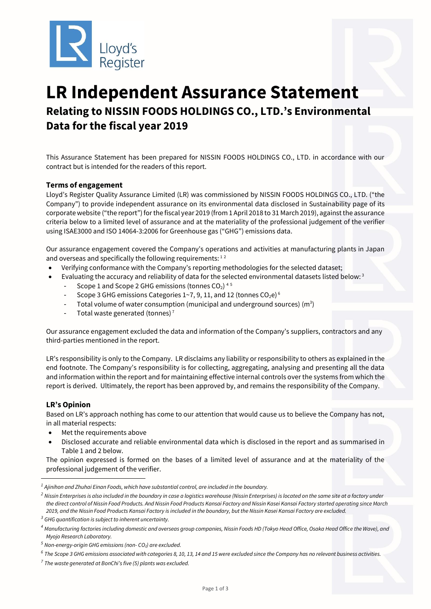

# **LR Independent Assurance Statement Relating to NISSIN FOODS HOLDINGS CO., LTD.'s Environmental Data for the fiscal year 2019**

This Assurance Statement has been prepared for NISSIN FOODS HOLDINGS CO., LTD. in accordance with our contract but is intended for the readers of this report.

## **Terms of engagement**

Lloyd's Register Quality Assurance Limited (LR) was commissioned by NISSIN FOODS HOLDINGS CO., LTD. ("the Company") to provide independent assurance on its environmental data disclosed in Sustainability page of its corporate website ("the report") for the fiscal year 2019 (from 1 April 2018 to 31 March 2019), against the assurance criteria below to a limited level of assurance and at the materiality of the professional judgement of the verifier using ISAE3000 and ISO 14064-3:2006 for Greenhouse gas ("GHG") emissions data.

Our assurance engagement covered the Company's operations and activities at manufacturing plants in Japan and overseas and specifically the following requirements:  $12$ 

- Verifying conformance with the Company's reporting methodologies for the selected dataset;
	- Evaluating the accuracy and reliability of data for the selected environmental datasets listed below:<sup>3</sup>
		- Scope 1 and Scope 2 GHG emissions (tonnes CO<sub>2</sub>)<sup>45</sup>
		- Scope 3 GHG emissions Categories 1~7, 9, 11, and 12 (tonnes  $CO<sub>2</sub>e)$ <sup>6</sup>
		- Total volume of water consumption (municipal and underground sources) ( $m<sup>3</sup>$ )
		- Total waste generated (tonnes)<sup>7</sup>

Our assurance engagement excluded the data and information of the Company's suppliers, contractors and any third-parties mentioned in the report.

LR's responsibility is only to the Company. LR disclaims any liability or responsibility to others as explained in the end footnote. The Company's responsibility is for collecting, aggregating, analysing and presenting all the data and information within the report and for maintaining effective internal controls over the systems from which the report is derived. Ultimately, the report has been approved by, and remains the responsibility of the Company.

### **LR's Opinion**

Based on LR's approach nothing has come to our attention that would cause us to believe the Company has not, in all material respects:

- Met the requirements above
- Disclosed accurate and reliable environmental data which is disclosed in the report and as summarised in Table 1 and 2 below.

The opinion expressed is formed on the bases of a limited level of assurance and at the materiality of the professional judgement of the verifier.

*<sup>1</sup> Ajinihon and Zhuhai Einan Foods, which have substantial control, are included in the boundary.*

<sup>&</sup>lt;sup>2</sup> Nissin Enterprises is also included in the boundary in case a logistics warehouse (Nissin Enterprises) is located on the same site at a factory under *the direct control of Nissin Food Products. And Nissin Food Products Kansai Factory and Nissin Kasei Kansai Factory started operating since March 2019, and the Nissin Food Products Kansai Factory is included in the boundary, but the Nissin Kasei Kansai Factory are excluded.*

*<sup>3</sup> GHG quantification is subject to inherent uncertainty.*

*<sup>4</sup> Manufacturing factories including domestic and overseas group companies, Nissin Foods HD (Tokyo Head Office, Osaka Head Office the Wave), and Myojo Research Laboratory.*

*<sup>5</sup> Non-energy-origin GHG emissions (non- CO2) are excluded.*

*<sup>6</sup> The Scope 3 GHG emissions associated with categories 8, 10, 13, 14 and 15 were excluded since the Company has no relevant business activities.*

*<sup>7</sup> The waste generated at BonChi's five (5) plants was excluded.*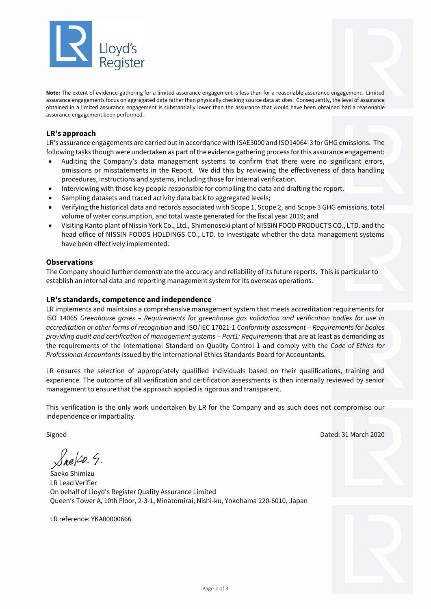

**Note:** The extent of evidence-gathering for a limited assurance engagement is less than for a reasonable assurance engagement. Limited assurance engagements focus on aggregated data rather than physically checking source data at sites. Consequently, the level of assurance obtained in a limited assurance engagement is substantially lower than the assurance that would have been obtained had a reasonable assurance engagement been performed.

## **LR's approach**

LR's assurance engagements are carried out in accordance with ISAE3000 and ISO14064-3 for GHG emissions. The following tasks though were undertaken as part of the evidence gathering process for this assurance engagement:

- Auditing the Company's data management systems to confirm that there were no significant errors, omissions or misstatements in the Report. We did this by reviewing the effectiveness of data handling procedures, instructions and systems, including those for internal verification.
- Interviewing with those key people responsible for compiling the data and drafting the report.
- Sampling datasets and traced activity data back to aggregated levels;
- Verifying the historical data and records associated with Scope 1, Scope 2, and Scope 3 GHG emissions, total volume of water consumption, and total waste generated for the fiscal year 2019; and
- Visiting Kanto plant of Nissin York Co., Ltd., Shimonoseki plant of NISSIN FOOD PRODUCTS CO., LTD. and the head office of NISSIN FOODS HOLDINGS CO., LTD. to investigate whether the data management systems have been effectively implemented.

#### **Observations**

The Company should further demonstrate the accuracy and reliability of its future reports. This is particular to establish an internal data and reporting management system for its overseas operations.

#### **LR's standards, competence and independence**

LR implements and maintains a comprehensive management system that meets accreditation requirements for ISO 14065 *Greenhouse gases – Requirements for greenhouse gas validation and verification bodies for use in accreditation or other forms of recognition* and ISO/IEC 17021-1 *Conformity assessment – Requirements for bodies providing audit and certification of management systems – Part1: Requirements* that are at least as demanding as the requirements of the International Standard on Quality Control 1 and comply with the *Code of Ethics for Professional Accountants* issued by the International Ethics Standards Board for Accountants.

LR ensures the selection of appropriately qualified individuals based on their qualifications, training and experience. The outcome of all verification and certification assessments is then internally reviewed by senior management to ensure that the approach applied is rigorous and transparent.

This verification is the only work undertaken by LR for the Company and as such does not compromise our independence or impartiality.

 $S_{ne}$   $\swarrow$  9.

Saeko Shimizu LR Lead Verifier On behalf of Lloyd's Register Quality Assurance Limited Queen's Tower A, 10th Floor, 2-3-1, Minatomirai, Nishi-ku, Yokohama 220-6010, Japan

LR reference: YKA00000666

Signed Dated: 31 March 2020